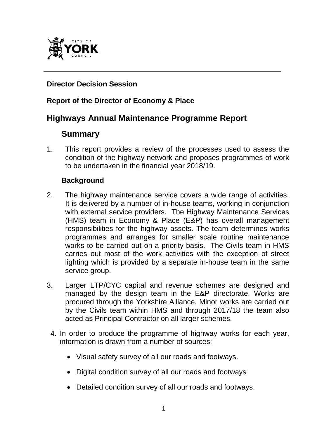

# **Director Decision Session**

#### **Report of the Director of Economy & Place**

# **Highways Annual Maintenance Programme Report**

# **Summary**

1. This report provides a review of the processes used to assess the condition of the highway network and proposes programmes of work to be undertaken in the financial year 2018/19.

#### **Background**

- 2. The highway maintenance service covers a wide range of activities. It is delivered by a number of in-house teams, working in conjunction with external service providers. The Highway Maintenance Services (HMS) team in Economy & Place (E&P) has overall management responsibilities for the highway assets. The team determines works programmes and arranges for smaller scale routine maintenance works to be carried out on a priority basis. The Civils team in HMS carries out most of the work activities with the exception of street lighting which is provided by a separate in-house team in the same service group.
- 3. Larger LTP/CYC capital and revenue schemes are designed and managed by the design team in the E&P directorate. Works are procured through the Yorkshire Alliance. Minor works are carried out by the Civils team within HMS and through 2017/18 the team also acted as Principal Contractor on all larger schemes.
- 4. In order to produce the programme of highway works for each year, information is drawn from a number of sources:
	- Visual safety survey of all our roads and footways.
	- Digital condition survey of all our roads and footways
	- Detailed condition survey of all our roads and footways.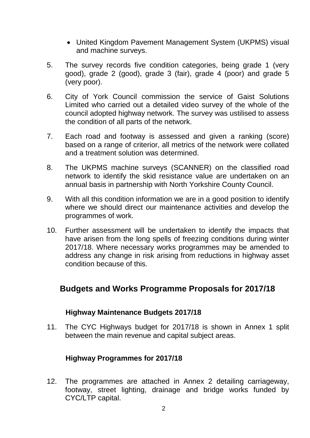- United Kingdom Pavement Management System (UKPMS) visual and machine surveys.
- 5. The survey records five condition categories, being grade 1 (very good), grade 2 (good), grade 3 (fair), grade 4 (poor) and grade 5 (very poor).
- 6. City of York Council commission the service of Gaist Solutions Limited who carried out a detailed video survey of the whole of the council adopted highway network. The survey was ustilised to assess the condition of all parts of the network.
- 7. Each road and footway is assessed and given a ranking (score) based on a range of criterior, all metrics of the network were collated and a treatment solution was determined.
- 8. The UKPMS machine surveys (SCANNER) on the classified road network to identify the skid resistance value are undertaken on an annual basis in partnership with North Yorkshire County Council.
- 9. With all this condition information we are in a good position to identify where we should direct our maintenance activities and develop the programmes of work.
- 10. Further assessment will be undertaken to identify the impacts that have arisen from the long spells of freezing conditions during winter 2017/18. Where necessary works programmes may be amended to address any change in risk arising from reductions in highway asset condition because of this.

# **Budgets and Works Programme Proposals for 2017/18**

#### **Highway Maintenance Budgets 2017/18**

11. The CYC Highways budget for 2017/18 is shown in Annex 1 split between the main revenue and capital subject areas.

#### **Highway Programmes for 2017/18**

12. The programmes are attached in Annex 2 detailing carriageway, footway, street lighting, drainage and bridge works funded by CYC/LTP capital.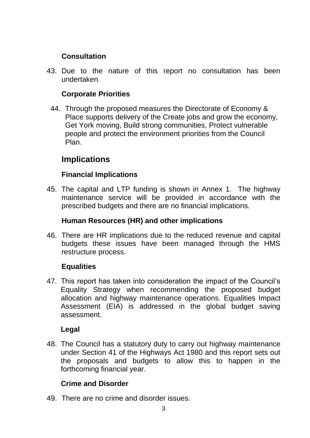## **Consultation**

43. Due to the nature of this report no consultation has been undertaken.

## **Corporate Priorities**

44. Through the proposed measures the Directorate of Economy & Place supports delivery of the Create jobs and grow the economy, Get York moving, Build strong communities, Protect vulnerable people and protect the environment priorities from the Council Plan.

# **Implications**

## **Financial Implications**

45. The capital and LTP funding is shown in Annex 1. The highway maintenance service will be provided in accordance with the prescribed budgets and there are no financial implications.

#### **Human Resources (HR) and other implications**

46. There are HR implications due to the reduced revenue and capital budgets these issues have been managed through the HMS restructure process.

#### **Equalities**

47. This report has taken into consideration the impact of the Council's Equality Strategy when recommending the proposed budget allocation and highway maintenance operations. Equalities Impact Assessment (EIA) is addressed in the global budget saving assessment.

#### **Legal**

48. The Council has a statutory duty to carry out highway maintenance under Section 41 of the Highways Act 1980 and this report sets out the proposals and budgets to allow this to happen in the forthcoming financial year.

# **Crime and Disorder**

49. There are no crime and disorder issues.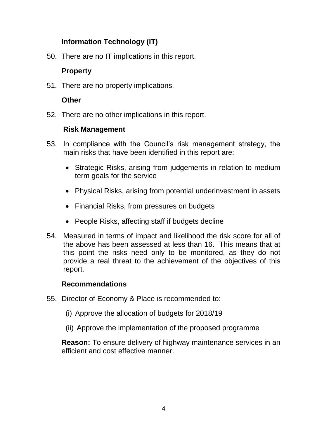# **Information Technology (IT)**

50. There are no IT implications in this report.

# **Property**

51. There are no property implications.

# **Other**

52. There are no other implications in this report.

## **Risk Management**

- 53. In compliance with the Council's risk management strategy, the main risks that have been identified in this report are:
	- Strategic Risks, arising from judgements in relation to medium term goals for the service
	- Physical Risks, arising from potential underinvestment in assets
	- Financial Risks, from pressures on budgets
	- People Risks, affecting staff if budgets decline
- 54. Measured in terms of impact and likelihood the risk score for all of the above has been assessed at less than 16. This means that at this point the risks need only to be monitored, as they do not provide a real threat to the achievement of the objectives of this report.

#### **Recommendations**

- 55. Director of Economy & Place is recommended to:
	- (i) Approve the allocation of budgets for 2018/19
	- (ii) Approve the implementation of the proposed programme

**Reason:** To ensure delivery of highway maintenance services in an efficient and cost effective manner.